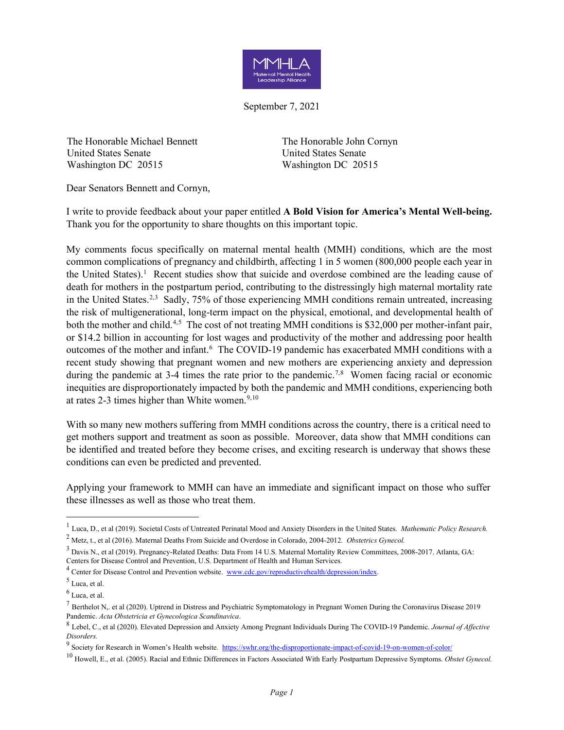

September 7, 2021

The Honorable Michael Bennett United States Senate Washington DC 20515

The Honorable John Cornyn United States Senate Washington DC 20515

Dear Senators Bennett and Cornyn,

I write to provide feedback about your paper entitled **A Bold Vision for America's Mental Well-being.** Thank you for the opportunity to share thoughts on this important topic.

My comments focus specifically on maternal mental health (MMH) conditions, which are the most common complications of pregnancy and childbirth, affecting 1 in 5 women (800,000 people each year in the United States).<sup>[1](#page-0-0)</sup> Recent studies show that suicide and overdose combined are the leading cause of death for mothers in the postpartum period, contributing to the distressingly high maternal mortality rate in the United States.<sup>2,[3](#page-0-2)</sup> Sadly, 75% of those experiencing MMH conditions remain untreated, increasing the risk of multigenerational, long-term impact on the physical, emotional, and developmental health of both the mother and child.<sup>[4](#page-0-3),[5](#page-0-4)</sup> The cost of not treating MMH conditions is \$32,000 per mother-infant pair, or \$14.2 billion in accounting for lost wages and productivity of the mother and addressing poor health outcomes of the mother and infant.<sup>[6](#page-0-5)</sup> The COVID-19 pandemic has exacerbated MMH conditions with a recent study showing that pregnant women and new mothers are experiencing anxiety and depression during the pandemic at 3-4 times the rate prior to the pandemic.<sup>[7](#page-0-6),[8](#page-0-7)</sup> Women facing racial or economic inequities are disproportionately impacted by both the pandemic and MMH conditions, experiencing both at rates 2-3 times higher than White women. $9,10$  $9,10$ 

With so many new mothers suffering from MMH conditions across the country, there is a critical need to get mothers support and treatment as soon as possible. Moreover, data show that MMH conditions can be identified and treated before they become crises, and exciting research is underway that shows these conditions can even be predicted and prevented.

Applying your framework to MMH can have an immediate and significant impact on those who suffer these illnesses as well as those who treat them.

<span id="page-0-0"></span><sup>1</sup> Luca, D., et al (2019). Societal Costs of Untreated Perinatal Mood and Anxiety Disorders in the United States. *Mathematic Policy Research.*

<span id="page-0-1"></span><sup>2</sup> Metz, t., et al (2016). Maternal Deaths From Suicide and Overdose in Colorado, 2004-2012. *Obstetrics Gynecol.*

<span id="page-0-2"></span><sup>3</sup> Davis N., et al (2019). Pregnancy-Related Deaths: Data From 14 U.S. Maternal Mortality Review Committees, 2008-2017. Atlanta, GA: Centers for Disease Control and Prevention, U.S. Department of Health and Human Services.

<span id="page-0-3"></span><sup>&</sup>lt;sup>4</sup> Center for Disease Control and Prevention website. [www.cdc.gov/reproductivehealth/depression/index.](http://www.cdc.gov/reproductivehealth/depression/index)

<span id="page-0-4"></span><sup>5</sup> Luca, et al.

<span id="page-0-5"></span> $<sup>6</sup>$  Luca, et al.</sup>

<span id="page-0-6"></span> $^7$  [Berthelot N,. et al \(2020\). Uptrend in Distress and Psychiatric Symptomatology in Pregnant Women During the Coronavirus Disease 2019](https://doi.org/10.1111/aogs.13925) [Pandemic.](https://doi.org/10.1111/aogs.13925) *[Acta Obstetricia et Gynecologica Scandinavica](https://doi.org/10.1111/aogs.13925)*.

<span id="page-0-7"></span><sup>8</sup> Lebel, C., et al (2020). Elevated Depression and Anxiety Among Pregnant Individuals During The COVID-19 Pandemic. *Journal of Affective Disorders.*

<span id="page-0-8"></span><sup>9</sup> Society for Research in Women's Health website.<https://swhr.org/the-disproportionate-impact-of-covid-19-on-women-of-color/>

<span id="page-0-9"></span><sup>10</sup> Howell, E., et al. (2005). Racial and Ethnic Differences in Factors Associated With Early Postpartum Depressive Symptoms. *Obstet Gynecol.*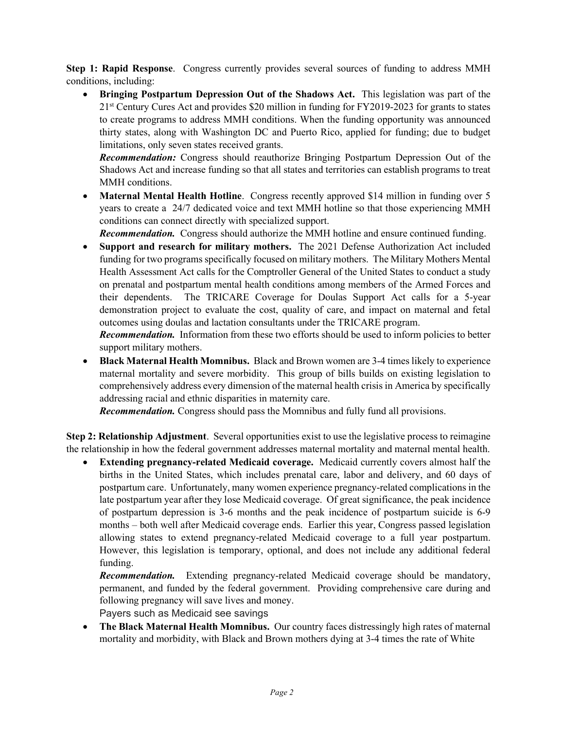**Step 1: Rapid Response**. Congress currently provides several sources of funding to address MMH conditions, including:

• **Bringing Postpartum Depression Out of the Shadows Act.** This legislation was part of the 21<sup>st</sup> Century Cures Act and provides \$20 million in funding for FY2019-2023 for grants to states to create programs to address MMH conditions. When the funding opportunity was announced thirty states, along with Washington DC and Puerto Rico, applied for funding; due to budget limitations, only seven states received grants.

*Recommendation:* Congress should reauthorize Bringing Postpartum Depression Out of the Shadows Act and increase funding so that all states and territories can establish programs to treat MMH conditions.

• **Maternal Mental Health Hotline**. Congress recently approved \$14 million in funding over 5 years to create a 24/7 dedicated voice and text MMH hotline so that those experiencing MMH conditions can connect directly with specialized support.

*Recommendation.* Congress should authorize the MMH hotline and ensure continued funding.

• **Support and research for military mothers.** The 2021 Defense Authorization Act included funding for two programs specifically focused on military mothers. The Military Mothers Mental Health Assessment Act calls for the Comptroller General of the United States to conduct a study on prenatal and postpartum mental health conditions among members of the Armed Forces and their dependents. The TRICARE Coverage for Doulas Support Act calls for a 5-year demonstration project to evaluate the cost, quality of care, and impact on maternal and fetal outcomes using doulas and lactation consultants under the TRICARE program.

*Recommendation.* Information from these two efforts should be used to inform policies to better support military mothers.

• **Black Maternal Health Momnibus.** Black and Brown women are 3-4 times likely to experience maternal mortality and severe morbidity. This group of bills builds on existing legislation to comprehensively address every dimension of the maternal health crisis in America by specifically addressing racial and ethnic disparities in maternity care.

*Recommendation.* Congress should pass the Momnibus and fully fund all provisions.

**Step 2: Relationship Adjustment**. Several opportunities exist to use the legislative process to reimagine the relationship in how the federal government addresses maternal mortality and maternal mental health.

• **Extending pregnancy-related Medicaid coverage.** Medicaid currently covers almost half the births in the United States, which includes prenatal care, labor and delivery, and 60 days of postpartum care. Unfortunately, many women experience pregnancy-related complications in the late postpartum year after they lose Medicaid coverage. Of great significance, the peak incidence of postpartum depression is 3-6 months and the peak incidence of postpartum suicide is 6-9 months – both well after Medicaid coverage ends. Earlier this year, Congress passed legislation allowing states to extend pregnancy-related Medicaid coverage to a full year postpartum. However, this legislation is temporary, optional, and does not include any additional federal funding.

*Recommendation.* Extending pregnancy-related Medicaid coverage should be mandatory, permanent, and funded by the federal government. Providing comprehensive care during and following pregnancy will save lives and money.

Payers such as Medicaid see savings

• **The Black Maternal Health Momnibus.** Our country faces distressingly high rates of maternal mortality and morbidity, with Black and Brown mothers dying at 3-4 times the rate of White